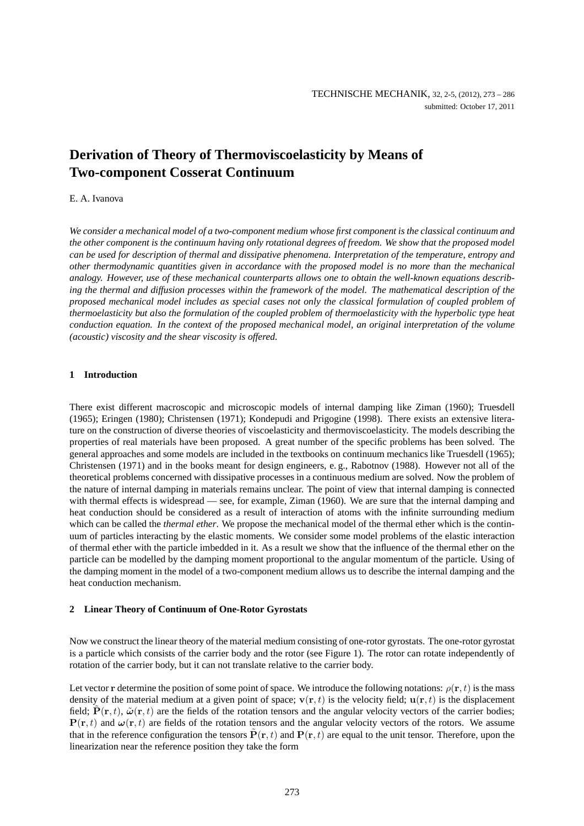# **Derivation of Theory of Thermoviscoelasticity by Means of Two-component Cosserat Continuum**

# E. A. Ivanova

*We consider a mechanical model of a two-component medium whose first component is the classical continuum and the other component is the continuum having only rotational degrees of freedom. We show that the proposed model can be used for description of thermal and dissipative phenomena. Interpretation of the temperature, entropy and other thermodynamic quantities given in accordance with the proposed model is no more than the mechanical analogy. However, use of these mechanical counterparts allows one to obtain the well-known equations describing the thermal and diffusion processes within the framework of the model. The mathematical description of the proposed mechanical model includes as special cases not only the classical formulation of coupled problem of thermoelasticity but also the formulation of the coupled problem of thermoelasticity with the hyperbolic type heat conduction equation. In the context of the proposed mechanical model, an original interpretation of the volume (acoustic) viscosity and the shear viscosity is offered.*

# **1 Introduction**

There exist different macroscopic and microscopic models of internal damping like Ziman (1960); Truesdell (1965); Eringen (1980); Christensen (1971); Kondepudi and Prigogine (1998). There exists an extensive literature on the construction of diverse theories of viscoelasticity and thermoviscoelasticity. The models describing the properties of real materials have been proposed. A great number of the specific problems has been solved. The general approaches and some models are included in the textbooks on continuum mechanics like Truesdell (1965); Christensen (1971) and in the books meant for design engineers, e. g., Rabotnov (1988). However not all of the theoretical problems concerned with dissipative processes in a continuous medium are solved. Now the problem of the nature of internal damping in materials remains unclear. The point of view that internal damping is connected with thermal effects is widespread — see, for example, Ziman (1960). We are sure that the internal damping and heat conduction should be considered as a result of interaction of atoms with the infinite surrounding medium which can be called the *thermal ether*. We propose the mechanical model of the thermal ether which is the continuum of particles interacting by the elastic moments. We consider some model problems of the elastic interaction of thermal ether with the particle imbedded in it. As a result we show that the influence of the thermal ether on the particle can be modelled by the damping moment proportional to the angular momentum of the particle. Using of the damping moment in the model of a two-component medium allows us to describe the internal damping and the heat conduction mechanism.

## **2 Linear Theory of Continuum of One-Rotor Gyrostats**

Now we construct the linear theory of the material medium consisting of one-rotor gyrostats. The one-rotor gyrostat is a particle which consists of the carrier body and the rotor (see Figure 1). The rotor can rotate independently of rotation of the carrier body, but it can not translate relative to the carrier body.

Let vector r determine the position of some point of space. We introduce the following notations:  $\rho(\mathbf{r}, t)$  is the mass density of the material medium at a given point of space;  $\mathbf{v}(\mathbf{r}, t)$  is the velocity field;  $\mathbf{u}(\mathbf{r}, t)$  is the displacement field;  $\tilde{P}(r, t)$ ,  $\tilde{\omega}(r, t)$  are the fields of the rotation tensors and the angular velocity vectors of the carrier bodies;  $P(r, t)$  and  $\omega(r, t)$  are fields of the rotation tensors and the angular velocity vectors of the rotors. We assume that in the reference configuration the tensors  $\tilde{P}(\mathbf{r}, t)$  and  $P(\mathbf{r}, t)$  are equal to the unit tensor. Therefore, upon the linearization near the reference position they take the form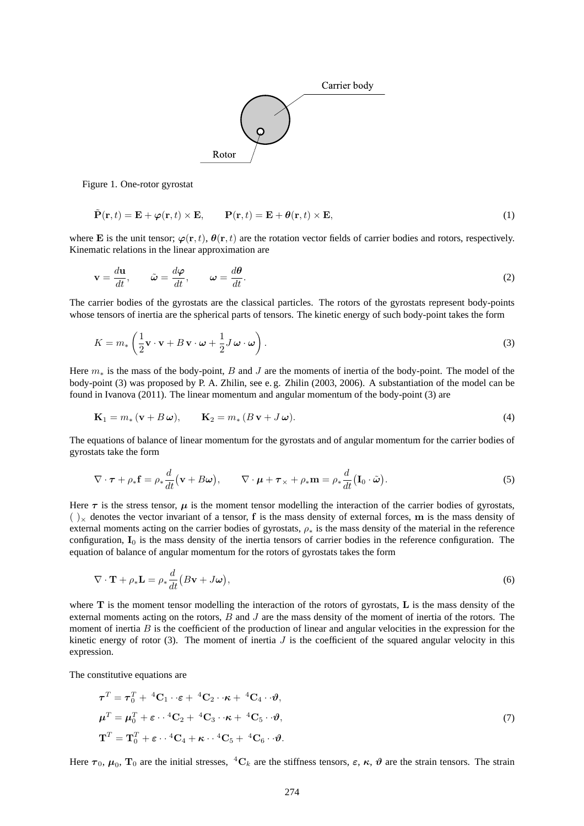

Figure 1. One-rotor gyrostat

$$
\tilde{\mathbf{P}}(\mathbf{r},t) = \mathbf{E} + \boldsymbol{\varphi}(\mathbf{r},t) \times \mathbf{E}, \qquad \mathbf{P}(\mathbf{r},t) = \mathbf{E} + \boldsymbol{\theta}(\mathbf{r},t) \times \mathbf{E}, \tag{1}
$$

where E is the unit tensor;  $\varphi(\mathbf{r}, t)$ ,  $\theta(\mathbf{r}, t)$  are the rotation vector fields of carrier bodies and rotors, respectively. Kinematic relations in the linear approximation are

$$
\mathbf{v} = \frac{d\mathbf{u}}{dt}, \qquad \tilde{\boldsymbol{\omega}} = \frac{d\boldsymbol{\varphi}}{dt}, \qquad \boldsymbol{\omega} = \frac{d\boldsymbol{\theta}}{dt}.
$$
 (2)

The carrier bodies of the gyrostats are the classical particles. The rotors of the gyrostats represent body-points whose tensors of inertia are the spherical parts of tensors. The kinetic energy of such body-point takes the form

$$
K = m_* \left( \frac{1}{2} \mathbf{v} \cdot \mathbf{v} + B \mathbf{v} \cdot \boldsymbol{\omega} + \frac{1}{2} J \boldsymbol{\omega} \cdot \boldsymbol{\omega} \right).
$$
 (3)

Here  $m<sub>*</sub>$  is the mass of the body-point, B and J are the moments of inertia of the body-point. The model of the body-point (3) was proposed by P. A. Zhilin, see e. g. Zhilin (2003, 2006). A substantiation of the model can be found in Ivanova (2011). The linear momentum and angular momentum of the body-point (3) are

$$
\mathbf{K}_1 = m_* \left( \mathbf{v} + B \, \boldsymbol{\omega} \right), \qquad \mathbf{K}_2 = m_* \left( B \, \mathbf{v} + J \, \boldsymbol{\omega} \right). \tag{4}
$$

The equations of balance of linear momentum for the gyrostats and of angular momentum for the carrier bodies of gyrostats take the form

$$
\nabla \cdot \boldsymbol{\tau} + \rho_* \mathbf{f} = \rho_* \frac{d}{dt} (\mathbf{v} + B\boldsymbol{\omega}), \qquad \nabla \cdot \boldsymbol{\mu} + \boldsymbol{\tau}_* + \rho_* \mathbf{m} = \rho_* \frac{d}{dt} (\mathbf{I}_0 \cdot \tilde{\boldsymbol{\omega}}).
$$
 (5)

Here  $\tau$  is the stress tensor,  $\mu$  is the moment tensor modelling the interaction of the carrier bodies of gyrostats,  $(y)$  denotes the vector invariant of a tensor, f is the mass density of external forces, m is the mass density of external moments acting on the carrier bodies of gyrostats,  $\rho_*$  is the mass density of the material in the reference configuration,  $I_0$  is the mass density of the inertia tensors of carrier bodies in the reference configuration. The equation of balance of angular momentum for the rotors of gyrostats takes the form

$$
\nabla \cdot \mathbf{T} + \rho_* \mathbf{L} = \rho_* \frac{d}{dt} \big( B \mathbf{v} + J \boldsymbol{\omega} \big),\tag{6}
$$

where  $T$  is the moment tensor modelling the interaction of the rotors of gyrostats,  $L$  is the mass density of the external moments acting on the rotors, B and J are the mass density of the moment of inertia of the rotors. The moment of inertia  $B$  is the coefficient of the production of linear and angular velocities in the expression for the kinetic energy of rotor (3). The moment of inertia  $J$  is the coefficient of the squared angular velocity in this expression.

The constitutive equations are

$$
\boldsymbol{\tau}^T = \boldsymbol{\tau}_0^T + {}^4\mathbf{C}_1 \cdot \boldsymbol{\epsilon} + {}^4\mathbf{C}_2 \cdot \boldsymbol{\kappa} + {}^4\mathbf{C}_4 \cdot \boldsymbol{\vartheta},
$$
  
\n
$$
\boldsymbol{\mu}^T = \boldsymbol{\mu}_0^T + \boldsymbol{\epsilon} \cdot {}^4\mathbf{C}_2 + {}^4\mathbf{C}_3 \cdot \boldsymbol{\kappa} + {}^4\mathbf{C}_5 \cdot \boldsymbol{\vartheta},
$$
  
\n
$$
\mathbf{T}^T = \mathbf{T}_0^T + \boldsymbol{\epsilon} \cdot {}^4\mathbf{C}_4 + \boldsymbol{\kappa} \cdot {}^4\mathbf{C}_5 + {}^4\mathbf{C}_6 \cdot \boldsymbol{\vartheta}.
$$
\n(7)

Here  $\tau_0$ ,  $\mu_0$ ,  $T_0$  are the initial stresses, <sup>4</sup>C<sub>k</sub> are the stiffness tensors,  $\varepsilon$ ,  $\kappa$ ,  $\vartheta$  are the strain tensors. The strain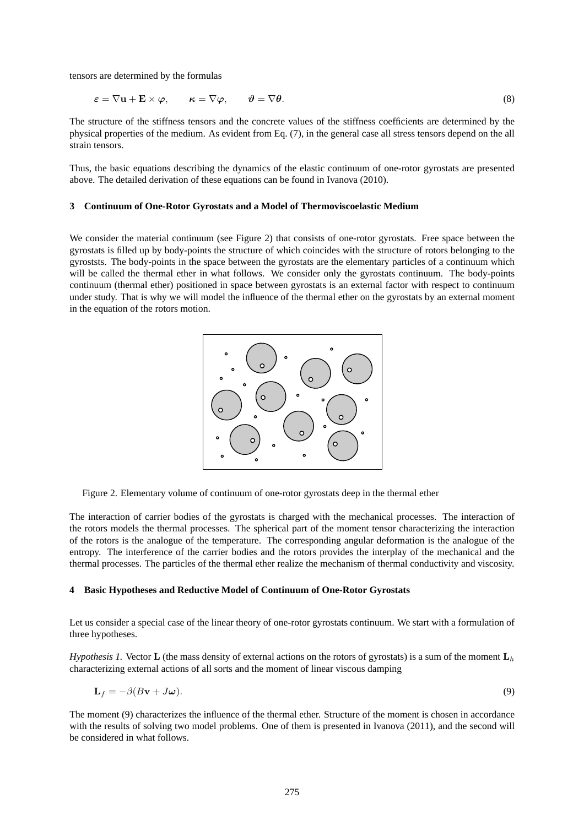tensors are determined by the formulas

$$
\varepsilon = \nabla \mathbf{u} + \mathbf{E} \times \boldsymbol{\varphi}, \qquad \kappa = \nabla \boldsymbol{\varphi}, \qquad \boldsymbol{\vartheta} = \nabla \boldsymbol{\theta}.
$$
\n(8)

The structure of the stiffness tensors and the concrete values of the stiffness coefficients are determined by the physical properties of the medium. As evident from Eq. (7), in the general case all stress tensors depend on the all strain tensors.

Thus, the basic equations describing the dynamics of the elastic continuum of one-rotor gyrostats are presented above. The detailed derivation of these equations can be found in Ivanova (2010).

#### **3 Continuum of One-Rotor Gyrostats and a Model of Thermoviscoelastic Medium**

We consider the material continuum (see Figure 2) that consists of one-rotor gyrostats. Free space between the gyrostats is filled up by body-points the structure of which coincides with the structure of rotors belonging to the gyroststs. The body-points in the space between the gyrostats are the elementary particles of a continuum which will be called the thermal ether in what follows. We consider only the gyrostats continuum. The body-points continuum (thermal ether) positioned in space between gyrostats is an external factor with respect to continuum under study. That is why we will model the influence of the thermal ether on the gyrostats by an external moment in the equation of the rotors motion.



Figure 2. Elementary volume of continuum of one-rotor gyrostats deep in the thermal ether

The interaction of carrier bodies of the gyrostats is charged with the mechanical processes. The interaction of the rotors models the thermal processes. The spherical part of the moment tensor characterizing the interaction of the rotors is the analogue of the temperature. The corresponding angular deformation is the analogue of the entropy. The interference of the carrier bodies and the rotors provides the interplay of the mechanical and the thermal processes. The particles of the thermal ether realize the mechanism of thermal conductivity and viscosity.

# **4 Basic Hypotheses and Reductive Model of Continuum of One-Rotor Gyrostats**

Let us consider a special case of the linear theory of one-rotor gyrostats continuum. We start with a formulation of three hypotheses.

*Hypothesis 1.* Vector **L** (the mass density of external actions on the rotors of gyrostats) is a sum of the moment  $L_h$ characterizing external actions of all sorts and the moment of linear viscous damping

$$
\mathbf{L}_f = -\beta (B\mathbf{v} + J\boldsymbol{\omega}). \tag{9}
$$

The moment (9) characterizes the influence of the thermal ether. Structure of the moment is chosen in accordance with the results of solving two model problems. One of them is presented in Ivanova (2011), and the second will be considered in what follows.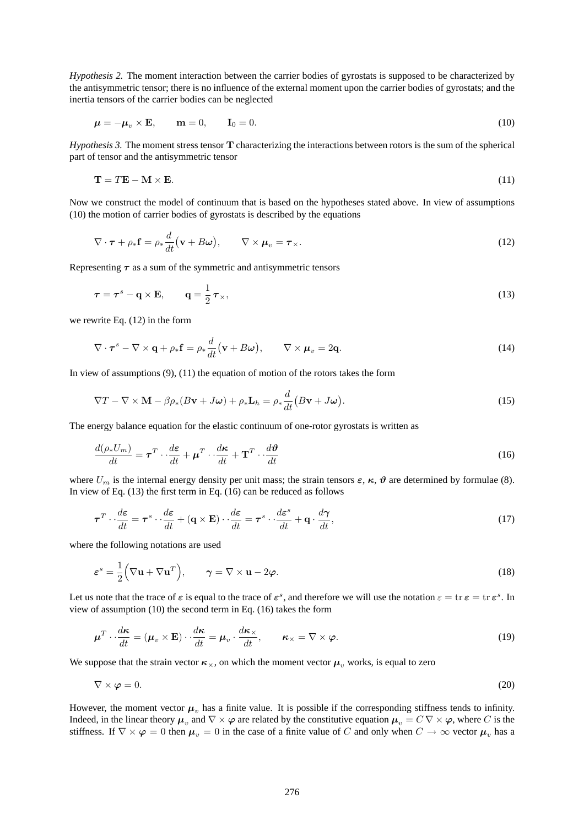*Hypothesis 2.* The moment interaction between the carrier bodies of gyrostats is supposed to be characterized by the antisymmetric tensor; there is no influence of the external moment upon the carrier bodies of gyrostats; and the inertia tensors of the carrier bodies can be neglected

$$
\mu = -\mu_v \times \mathbf{E}, \qquad \mathbf{m} = 0, \qquad \mathbf{I}_0 = 0. \tag{10}
$$

*Hypothesis 3.* The moment stress tensor T characterizing the interactions between rotors is the sum of the spherical part of tensor and the antisymmetric tensor

$$
\mathbf{T} = T\mathbf{E} - \mathbf{M} \times \mathbf{E}.\tag{11}
$$

Now we construct the model of continuum that is based on the hypotheses stated above. In view of assumptions (10) the motion of carrier bodies of gyrostats is described by the equations

$$
\nabla \cdot \boldsymbol{\tau} + \rho_* \mathbf{f} = \rho_* \frac{d}{dt} (\mathbf{v} + B\boldsymbol{\omega}), \qquad \nabla \times \boldsymbol{\mu}_v = \boldsymbol{\tau}_\times.
$$
 (12)

Representing  $\tau$  as a sum of the symmetric and antisymmetric tensors

$$
\tau = \tau^s - \mathbf{q} \times \mathbf{E}, \qquad \mathbf{q} = \frac{1}{2} \tau_{\times}, \tag{13}
$$

we rewrite Eq. (12) in the form

$$
\nabla \cdot \boldsymbol{\tau}^s - \nabla \times \mathbf{q} + \rho_* \mathbf{f} = \rho_* \frac{d}{dt} (\mathbf{v} + B\boldsymbol{\omega}), \qquad \nabla \times \boldsymbol{\mu}_v = 2\mathbf{q}.
$$
 (14)

In view of assumptions  $(9)$ ,  $(11)$  the equation of motion of the rotors takes the form

$$
\nabla T - \nabla \times \mathbf{M} - \beta \rho_*(B\mathbf{v} + J\boldsymbol{\omega}) + \rho_* \mathbf{L}_h = \rho_* \frac{d}{dt} (B\mathbf{v} + J\boldsymbol{\omega}). \tag{15}
$$

The energy balance equation for the elastic continuum of one-rotor gyrostats is written as

$$
\frac{d(\rho_* U_m)}{dt} = \boldsymbol{\tau}^T \cdot \frac{d\boldsymbol{\varepsilon}}{dt} + \boldsymbol{\mu}^T \cdot \frac{d\boldsymbol{\kappa}}{dt} + \mathbf{T}^T \cdot \frac{d\boldsymbol{\vartheta}}{dt}
$$
\n(16)

where  $U_m$  is the internal energy density per unit mass; the strain tensors  $\varepsilon$ ,  $\kappa$ ,  $\vartheta$  are determined by formulae (8). In view of Eq. (13) the first term in Eq. (16) can be reduced as follows

$$
\boldsymbol{\tau}^T \cdot \frac{d\boldsymbol{\varepsilon}}{dt} = \boldsymbol{\tau}^s \cdot \frac{d\boldsymbol{\varepsilon}}{dt} + (\mathbf{q} \times \mathbf{E}) \cdot \frac{d\boldsymbol{\varepsilon}}{dt} = \boldsymbol{\tau}^s \cdot \frac{d\boldsymbol{\varepsilon}^s}{dt} + \mathbf{q} \cdot \frac{d\boldsymbol{\gamma}}{dt},\tag{17}
$$

where the following notations are used

$$
\varepsilon^{s} = \frac{1}{2} (\nabla \mathbf{u} + \nabla \mathbf{u}^{T}), \qquad \gamma = \nabla \times \mathbf{u} - 2\varphi.
$$
 (18)

Let us note that the trace of  $\varepsilon$  is equal to the trace of  $\varepsilon^s$ , and therefore we will use the notation  $\varepsilon = \text{tr} \, \varepsilon = \text{tr} \, \varepsilon^s$ . In view of assumption (10) the second term in Eq. (16) takes the form

$$
\boldsymbol{\mu}^T \cdot \frac{d\boldsymbol{\kappa}}{dt} = (\boldsymbol{\mu}_v \times \mathbf{E}) \cdot \frac{d\boldsymbol{\kappa}}{dt} = \boldsymbol{\mu}_v \cdot \frac{d\boldsymbol{\kappa}_\times}{dt}, \qquad \boldsymbol{\kappa}_\times = \nabla \times \boldsymbol{\varphi}.\tag{19}
$$

We suppose that the strain vector  $\kappa_{\times}$ , on which the moment vector  $\mu_{\nu}$  works, is equal to zero

$$
\nabla \times \varphi = 0. \tag{20}
$$

However, the moment vector  $\mu_v$  has a finite value. It is possible if the corresponding stiffness tends to infinity. Indeed, in the linear theory  $\mu_v$  and  $\nabla \times \varphi$  are related by the constitutive equation  $\mu_v = C \nabla \times \varphi$ , where C is the stiffness. If  $\nabla \times \varphi = 0$  then  $\mu_v = 0$  in the case of a finite value of C and only when  $C \to \infty$  vector  $\mu_v$  has a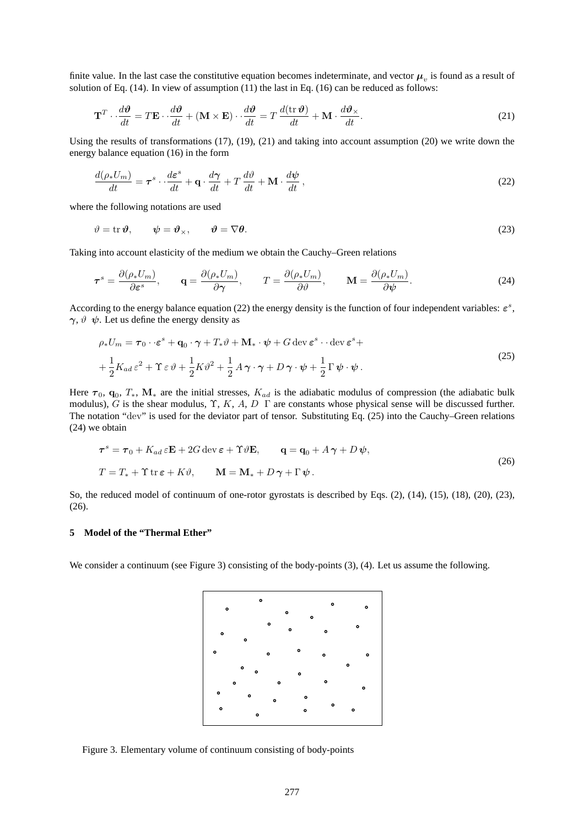finite value. In the last case the constitutive equation becomes indeterminate, and vector  $\mu_v$  is found as a result of solution of Eq. (14). In view of assumption (11) the last in Eq. (16) can be reduced as follows:

$$
\mathbf{T}^T \cdot \frac{d\boldsymbol{\vartheta}}{dt} = T\mathbf{E} \cdot \frac{d\boldsymbol{\vartheta}}{dt} + (\mathbf{M} \times \mathbf{E}) \cdot \frac{d\boldsymbol{\vartheta}}{dt} = T\frac{d(\mathrm{tr}\,\boldsymbol{\vartheta})}{dt} + \mathbf{M} \cdot \frac{d\boldsymbol{\vartheta}_{\times}}{dt}.
$$
 (21)

Using the results of transformations (17), (19), (21) and taking into account assumption (20) we write down the energy balance equation (16) in the form

$$
\frac{d(\rho_* U_m)}{dt} = \boldsymbol{\tau}^s \cdot \frac{d\boldsymbol{\varepsilon}^s}{dt} + \mathbf{q} \cdot \frac{d\boldsymbol{\gamma}}{dt} + T \frac{d\vartheta}{dt} + \mathbf{M} \cdot \frac{d\psi}{dt},\tag{22}
$$

where the following notations are used

$$
\vartheta = \text{tr}\,\boldsymbol{\vartheta}, \qquad \boldsymbol{\psi} = \boldsymbol{\vartheta}_{\times}, \qquad \boldsymbol{\vartheta} = \nabla \boldsymbol{\theta}. \tag{23}
$$

Taking into account elasticity of the medium we obtain the Cauchy–Green relations

$$
\boldsymbol{\tau}^{s} = \frac{\partial(\rho_{*} U_{m})}{\partial \boldsymbol{\varepsilon}^{s}}, \qquad \mathbf{q} = \frac{\partial(\rho_{*} U_{m})}{\partial \boldsymbol{\gamma}}, \qquad T = \frac{\partial(\rho_{*} U_{m})}{\partial \boldsymbol{\vartheta}}, \qquad \mathbf{M} = \frac{\partial(\rho_{*} U_{m})}{\partial \boldsymbol{\psi}}.
$$
(24)

According to the energy balance equation (22) the energy density is the function of four independent variables:  $\varepsilon^s$ ,  $\gamma$ ,  $\vartheta$   $\psi$ . Let us define the energy density as

$$
\rho_* U_m = \boldsymbol{\tau}_0 \cdot \boldsymbol{\varepsilon}^s + \mathbf{q}_0 \cdot \boldsymbol{\gamma} + T_* \vartheta + \mathbf{M}_* \cdot \boldsymbol{\psi} + G \operatorname{dev} \boldsymbol{\varepsilon}^s \cdot \operatorname{dev} \boldsymbol{\varepsilon}^s + + \frac{1}{2} K_{ad} \boldsymbol{\varepsilon}^2 + \Upsilon \boldsymbol{\varepsilon} \vartheta + \frac{1}{2} K \vartheta^2 + \frac{1}{2} A \boldsymbol{\gamma} \cdot \boldsymbol{\gamma} + D \boldsymbol{\gamma} \cdot \boldsymbol{\psi} + \frac{1}{2} \Gamma \boldsymbol{\psi} \cdot \boldsymbol{\psi} .
$$
\n(25)

Here  $\tau_0$ ,  $\mathbf{q}_0$ ,  $T_*$ ,  $\mathbf{M}_*$  are the initial stresses,  $K_{ad}$  is the adiabatic modulus of compression (the adiabatic bulk modulus), G is the shear modulus,  $\Upsilon$ , K, A, D  $\Gamma$  are constants whose physical sense will be discussed further. The notation "dev" is used for the deviator part of tensor. Substituting Eq. (25) into the Cauchy–Green relations (24) we obtain

$$
\tau^{s} = \tau_{0} + K_{ad} \varepsilon \mathbf{E} + 2G \operatorname{dev} \varepsilon + \Upsilon \vartheta \mathbf{E}, \qquad \mathbf{q} = \mathbf{q}_{0} + A \gamma + D \psi,
$$
  
\n
$$
T = T_{*} + \Upsilon \operatorname{tr} \varepsilon + K \vartheta, \qquad \mathbf{M} = \mathbf{M}_{*} + D \gamma + \Gamma \psi.
$$
\n(26)

So, the reduced model of continuum of one-rotor gyrostats is described by Eqs. (2), (14), (15), (18), (20), (23), (26).

# **5 Model of the "Thermal Ether"**

We consider a continuum (see Figure 3) consisting of the body-points (3), (4). Let us assume the following.



Figure 3. Elementary volume of continuum consisting of body-points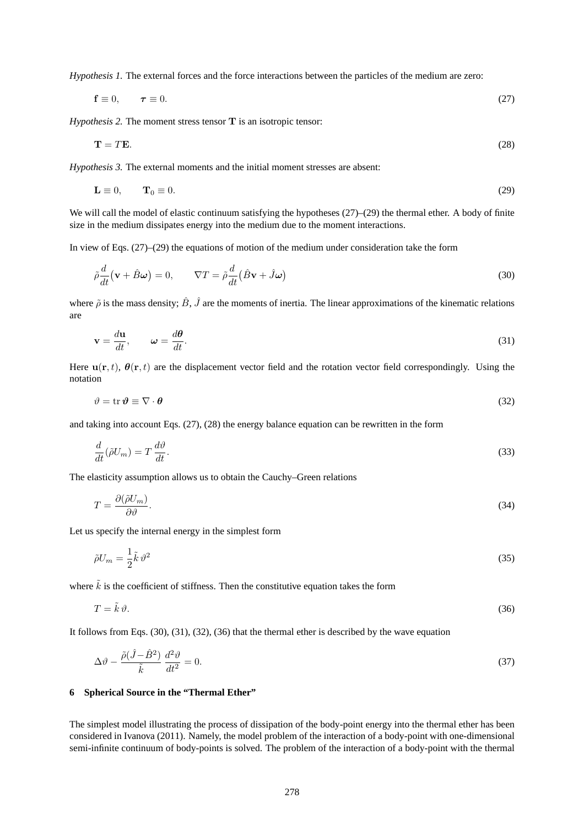*Hypothesis 1.* The external forces and the force interactions between the particles of the medium are zero:

$$
\mathbf{f} \equiv 0, \qquad \boldsymbol{\tau} \equiv 0. \tag{27}
$$

*Hypothesis 2.* The moment stress tensor **T** is an isotropic tensor:

$$
\mathbf{T} = T\mathbf{E}.\tag{28}
$$

*Hypothesis 3.* The external moments and the initial moment stresses are absent:

$$
\mathbf{L} \equiv 0, \qquad \mathbf{T}_0 \equiv 0. \tag{29}
$$

We will call the model of elastic continuum satisfying the hypotheses  $(27)$ – $(29)$  the thermal ether. A body of finite size in the medium dissipates energy into the medium due to the moment interactions.

In view of Eqs. (27)–(29) the equations of motion of the medium under consideration take the form

$$
\tilde{\rho}\frac{d}{dt}(\mathbf{v} + \hat{B}\boldsymbol{\omega}) = 0, \qquad \nabla T = \tilde{\rho}\frac{d}{dt}(\hat{B}\mathbf{v} + \hat{J}\boldsymbol{\omega})
$$
\n(30)

where  $\tilde{\rho}$  is the mass density;  $\hat{B}$ ,  $\hat{J}$  are the moments of inertia. The linear approximations of the kinematic relations are

$$
\mathbf{v} = \frac{d\mathbf{u}}{dt}, \qquad \boldsymbol{\omega} = \frac{d\boldsymbol{\theta}}{dt}.
$$

Here  $u(r, t)$ ,  $\theta(r, t)$  are the displacement vector field and the rotation vector field correspondingly. Using the notation

$$
\vartheta = \text{tr}\,\boldsymbol{\vartheta} \equiv \nabla \cdot \boldsymbol{\theta} \tag{32}
$$

and taking into account Eqs. (27), (28) the energy balance equation can be rewritten in the form

$$
\frac{d}{dt}(\tilde{\rho}U_m) = T\frac{d\vartheta}{dt}.\tag{33}
$$

The elasticity assumption allows us to obtain the Cauchy–Green relations

$$
T = \frac{\partial(\tilde{\rho}U_m)}{\partial \vartheta}.\tag{34}
$$

Let us specify the internal energy in the simplest form

$$
\tilde{\rho}U_m = \frac{1}{2}\tilde{k}\,\vartheta^2\tag{35}
$$

where  $\tilde{k}$  is the coefficient of stiffness. Then the constitutive equation takes the form

$$
T = \tilde{k}\,\vartheta.\tag{36}
$$

It follows from Eqs. (30), (31), (32), (36) that the thermal ether is described by the wave equation

$$
\Delta \vartheta - \frac{\tilde{\rho}(\hat{J} - \hat{B}^2)}{\tilde{k}} \frac{d^2 \vartheta}{dt^2} = 0.
$$
\n(37)

# **6 Spherical Source in the "Thermal Ether"**

The simplest model illustrating the process of dissipation of the body-point energy into the thermal ether has been considered in Ivanova (2011). Namely, the model problem of the interaction of a body-point with one-dimensional semi-infinite continuum of body-points is solved. The problem of the interaction of a body-point with the thermal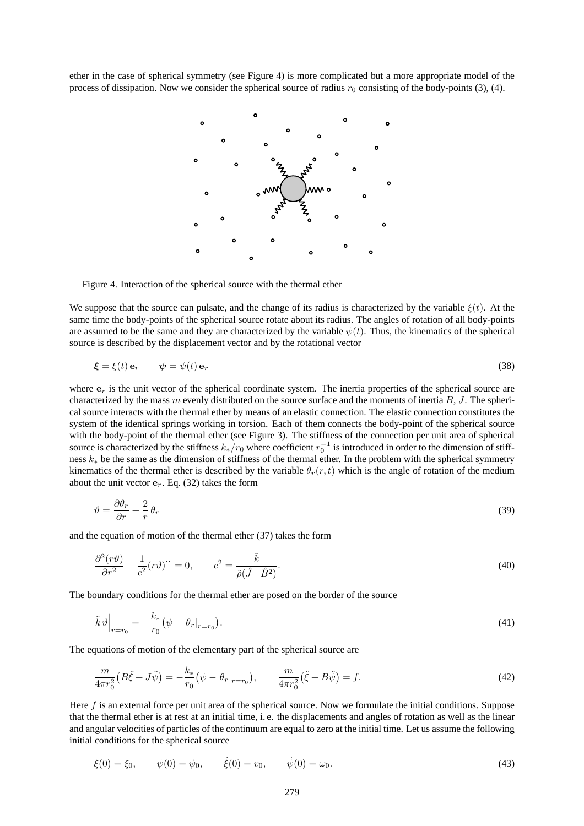ether in the case of spherical symmetry (see Figure 4) is more complicated but a more appropriate model of the process of dissipation. Now we consider the spherical source of radius  $r_0$  consisting of the body-points (3), (4).



Figure 4. Interaction of the spherical source with the thermal ether

We suppose that the source can pulsate, and the change of its radius is characterized by the variable  $\xi(t)$ . At the same time the body-points of the spherical source rotate about its radius. The angles of rotation of all body-points are assumed to be the same and they are characterized by the variable  $\psi(t)$ . Thus, the kinematics of the spherical source is described by the displacement vector and by the rotational vector

$$
\boldsymbol{\xi} = \xi(t) \, \mathbf{e}_r \qquad \boldsymbol{\psi} = \boldsymbol{\psi}(t) \, \mathbf{e}_r \tag{38}
$$

where  $e_r$  is the unit vector of the spherical coordinate system. The inertia properties of the spherical source are characterized by the mass  $m$  evenly distributed on the source surface and the moments of inertia  $B$ ,  $J$ . The spherical source interacts with the thermal ether by means of an elastic connection. The elastic connection constitutes the system of the identical springs working in torsion. Each of them connects the body-point of the spherical source with the body-point of the thermal ether (see Figure 3). The stiffness of the connection per unit area of spherical source is characterized by the stiffness  $k_*/r_0$  where coefficient  $r_0^{-1}$  is introduced in order to the dimension of stiffness k<sup>∗</sup> be the same as the dimension of stiffness of the thermal ether. In the problem with the spherical symmetry kinematics of the thermal ether is described by the variable  $\theta_r(r, t)$  which is the angle of rotation of the medium about the unit vector  $e_r$ . Eq. (32) takes the form

$$
\vartheta = \frac{\partial \theta_r}{\partial r} + \frac{2}{r} \theta_r \tag{39}
$$

and the equation of motion of the thermal ether (37) takes the form

$$
\frac{\partial^2 (r\vartheta)}{\partial r^2} - \frac{1}{c^2} (r\vartheta) \dot{} = 0, \qquad c^2 = \frac{\tilde{k}}{\tilde{\rho}(\hat{J} - \hat{B}^2)}.
$$
\n
$$
(40)
$$

The boundary conditions for the thermal ether are posed on the border of the source

$$
\tilde{k}\,\vartheta\Big|_{r=r_0} = -\frac{k_*}{r_0}\big(\psi - \theta_r\vert_{r=r_0}\big). \tag{41}
$$

The equations of motion of the elementary part of the spherical source are

$$
\frac{m}{4\pi r_0^2} \left( B\ddot{\xi} + J\ddot{\psi} \right) = -\frac{k_*}{r_0} \left( \psi - \theta_r |_{r=r_0} \right), \qquad \frac{m}{4\pi r_0^2} \left( \ddot{\xi} + B\ddot{\psi} \right) = f. \tag{42}
$$

Here f is an external force per unit area of the spherical source. Now we formulate the initial conditions. Suppose that the thermal ether is at rest at an initial time, i. e. the displacements and angles of rotation as well as the linear and angular velocities of particles of the continuum are equal to zero at the initial time. Let us assume the following initial conditions for the spherical source

$$
\xi(0) = \xi_0, \qquad \psi(0) = \psi_0, \qquad \dot{\xi}(0) = v_0, \qquad \dot{\psi}(0) = \omega_0.
$$
\n(43)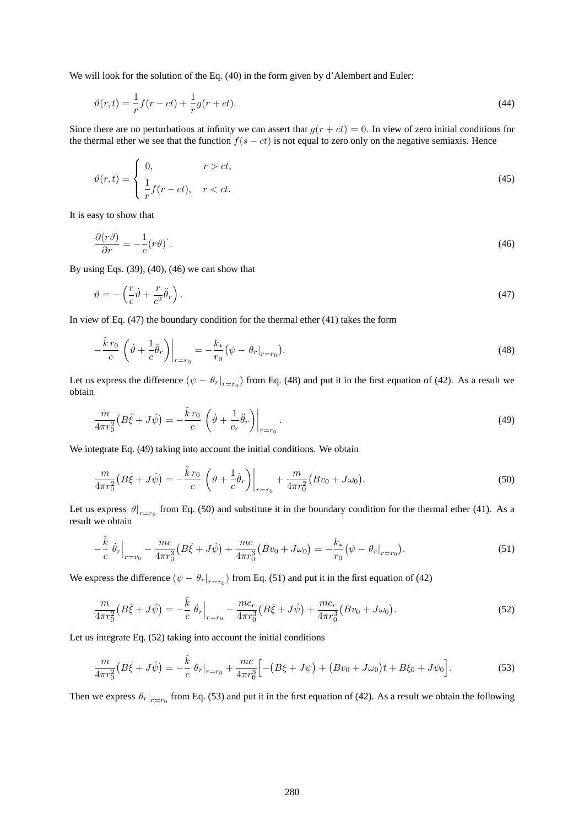We will look for the solution of the Eq. (40) in the form given by d'Alembert and Euler:

$$
\vartheta(r,t) = \frac{1}{r}f(r-ct) + \frac{1}{r}g(r+ct).
$$
\n(44)

Since there are no perturbations at infinity we can assert that  $g(r + ct) = 0$ . In view of zero initial conditions for the thermal ether we see that the function  $f(s - ct)$  is not equal to zero only on the negative semiaxis. Hence

$$
\vartheta(r,t) = \begin{cases} 0, & r > ct, \\ \frac{1}{r}f(r-ct), & r < ct. \end{cases}
$$
\n(45)

It is easy to show that

$$
\frac{\partial(r\vartheta)}{\partial r} = -\frac{1}{c}(r\vartheta)
$$
 (46)

By using Eqs. (39), (40), (46) we can show that

$$
\vartheta = -\left(\frac{r}{c}\dot{\vartheta} + \frac{r}{c^2}\ddot{\theta}_r\right). \tag{47}
$$

In view of Eq. (47) the boundary condition for the thermal ether (41) takes the form

$$
-\frac{\tilde{k}r_0}{c}\left(\dot{\vartheta} + \frac{1}{c}\ddot{\theta}_r\right)\bigg|_{r=r_0} = -\frac{k_*}{r_0}\left(\psi - \theta_r|_{r=r_0}\right). \tag{48}
$$

Let us express the difference  $(\psi - \theta_r|_{r=r_0})$  from Eq. (48) and put it in the first equation of (42). As a result we obtain

$$
\frac{m}{4\pi r_0^2} \left( B \ddot{\xi} + J \ddot{\psi} \right) = -\frac{\tilde{k} \, r_0}{c} \left( \dot{\vartheta} + \frac{1}{c_r} \ddot{\theta}_r \right) \bigg|_{r=r_0} \,. \tag{49}
$$

We integrate Eq. (49) taking into account the initial conditions. We obtain

$$
\frac{m}{4\pi r_0^2} \left( B \dot{\xi} + J \dot{\psi} \right) = -\frac{\tilde{k} r_0}{c} \left( \vartheta + \frac{1}{c} \dot{\theta}_r \right) \Big|_{r=r_0} + \frac{m}{4\pi r_0^2} \left( B v_0 + J \omega_0 \right).
$$
\n(50)

Let us express  $\vartheta|_{r=r_0}$  from Eq. (50) and substitute it in the boundary condition for the thermal ether (41). As a result we obtain

$$
-\frac{\tilde{k}}{c}\dot{\theta}_r\Big|_{r=r_0} - \frac{mc}{4\pi r_0^3} \left(B\dot{\xi} + J\dot{\psi}\right) + \frac{mc}{4\pi r_0^3} \left(Bv_0 + J\omega_0\right) = -\frac{k_*}{r_0} \left(\psi - \theta_r\big|_{r=r_0}\right). \tag{51}
$$

We express the difference  $(\psi - \theta_r|_{r=r_0})$  from Eq. (51) and put it in the first equation of (42)

$$
\frac{m}{4\pi r_0^2} \left( B\ddot{\xi} + J\ddot{\psi} \right) = -\frac{\tilde{k}}{c} \dot{\theta}_r \Big|_{r=r_0} - \frac{mc_r}{4\pi r_0^3} \left( B\dot{\xi} + J\dot{\psi} \right) + \frac{mc_r}{4\pi r_0^3} \left( Bv_0 + J\omega_0 \right). \tag{52}
$$

Let us integrate Eq. (52) taking into account the initial conditions

$$
\frac{m}{4\pi r_0^2} \left( B\dot{\xi} + J\dot{\psi} \right) = -\frac{\tilde{k}}{c} \theta_r \big|_{r=r_0} + \frac{mc}{4\pi r_0^3} \Big[ -\left( B\xi + J\psi \right) + \left( Bv_0 + J\omega_0 \right) t + B\xi_0 + J\psi_0 \Big]. \tag{53}
$$

Then we express  $\theta_r|_{r=r_0}$  from Eq. (53) and put it in the first equation of (42). As a result we obtain the following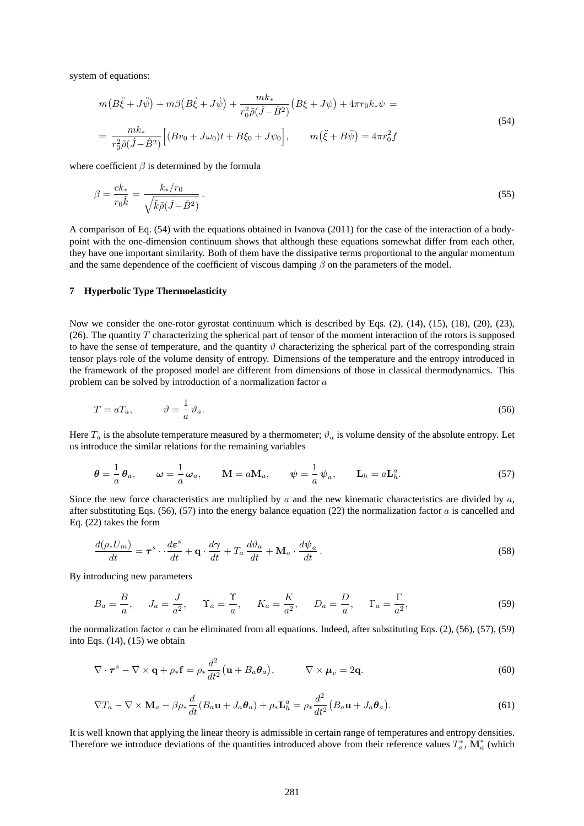system of equations:

$$
m(B\ddot{\xi} + J\ddot{\psi}) + m\beta(B\dot{\xi} + J\dot{\psi}) + \frac{mk_*}{r_0^2 \tilde{\rho}(\hat{J} - \hat{B}^2)}(B\xi + J\psi) + 4\pi r_0 k_* \psi =
$$
  
= 
$$
\frac{mk_*}{r_0^2 \tilde{\rho}(\hat{J} - \hat{B}^2)} \Big[ (Bv_0 + J\omega_0)t + B\xi_0 + J\psi_0 \Big], \qquad m(\ddot{\xi} + B\ddot{\psi}) = 4\pi r_0^2 f
$$
 (54)

where coefficient  $\beta$  is determined by the formula

$$
\beta = \frac{ck_*}{r_0 \tilde{k}} = \frac{k_*/r_0}{\sqrt{\tilde{k}\tilde{\rho}(\tilde{J} - \hat{B}^2)}}.
$$
\n(55)

A comparison of Eq. (54) with the equations obtained in Ivanova (2011) for the case of the interaction of a bodypoint with the one-dimension continuum shows that although these equations somewhat differ from each other, they have one important similarity. Both of them have the dissipative terms proportional to the angular momentum and the same dependence of the coefficient of viscous damping  $\beta$  on the parameters of the model.

### **7 Hyperbolic Type Thermoelasticity**

Now we consider the one-rotor gyrostat continuum which is described by Eqs. (2), (14), (15), (18), (20), (23), (26). The quantity  $T$  characterizing the spherical part of tensor of the moment interaction of the rotors is supposed to have the sense of temperature, and the quantity  $\vartheta$  characterizing the spherical part of the corresponding strain tensor plays role of the volume density of entropy. Dimensions of the temperature and the entropy introduced in the framework of the proposed model are different from dimensions of those in classical thermodynamics. This problem can be solved by introduction of a normalization factor a

$$
T = aT_a, \qquad \vartheta = \frac{1}{a}\vartheta_a. \tag{56}
$$

Here  $T_a$  is the absolute temperature measured by a thermometer;  $\vartheta_a$  is volume density of the absolute entropy. Let us introduce the similar relations for the remaining variables

$$
\theta = -\frac{1}{a}\theta_a, \qquad \omega = -\frac{1}{a}\omega_a, \qquad \mathbf{M} = a\mathbf{M}_a, \qquad \psi = -\frac{1}{a}\psi_a, \qquad \mathbf{L}_h = a\mathbf{L}_h^a.
$$

Since the new force characteristics are multiplied by  $a$  and the new kinematic characteristics are divided by  $a$ , after substituting Eqs.  $(56)$ ,  $(57)$  into the energy balance equation  $(22)$  the normalization factor a is cancelled and Eq. (22) takes the form

$$
\frac{d(\rho_* U_m)}{dt} = \boldsymbol{\tau}^s \cdot \frac{d\boldsymbol{\varepsilon}^s}{dt} + \mathbf{q} \cdot \frac{d\boldsymbol{\gamma}}{dt} + T_a \frac{d\vartheta_a}{dt} + \mathbf{M}_a \cdot \frac{d\psi_a}{dt}.
$$
\n(58)

By introducing new parameters

$$
B_a = \frac{B}{a}, \qquad J_a = \frac{J}{a^2}, \qquad \Upsilon_a = \frac{\Upsilon}{a}, \qquad K_a = \frac{K}{a^2}, \qquad D_a = \frac{D}{a}, \qquad \Gamma_a = \frac{\Gamma}{a^2}, \tag{59}
$$

the normalization factor  $a$  can be eliminated from all equations. Indeed, after substituting Eqs. (2), (56), (57), (59) into Eqs.  $(14)$ ,  $(15)$  we obtain

$$
\nabla \cdot \boldsymbol{\tau}^s - \nabla \times \mathbf{q} + \rho_* \mathbf{f} = \rho_* \frac{d^2}{dt^2} (\mathbf{u} + B_a \boldsymbol{\theta}_a), \qquad \nabla \times \boldsymbol{\mu}_v = 2\mathbf{q}.
$$
 (60)

$$
\nabla T_a - \nabla \times \mathbf{M}_a - \beta \rho_* \frac{d}{dt} (B_a \mathbf{u} + J_a \boldsymbol{\theta}_a) + \rho_* \mathbf{L}_h^a = \rho_* \frac{d^2}{dt^2} (B_a \mathbf{u} + J_a \boldsymbol{\theta}_a).
$$
 (61)

It is well known that applying the linear theory is admissible in certain range of temperatures and entropy densities. Therefore we introduce deviations of the quantities introduced above from their reference values  $T_a^*$ ,  $\mathbf{M}_a^*$  (which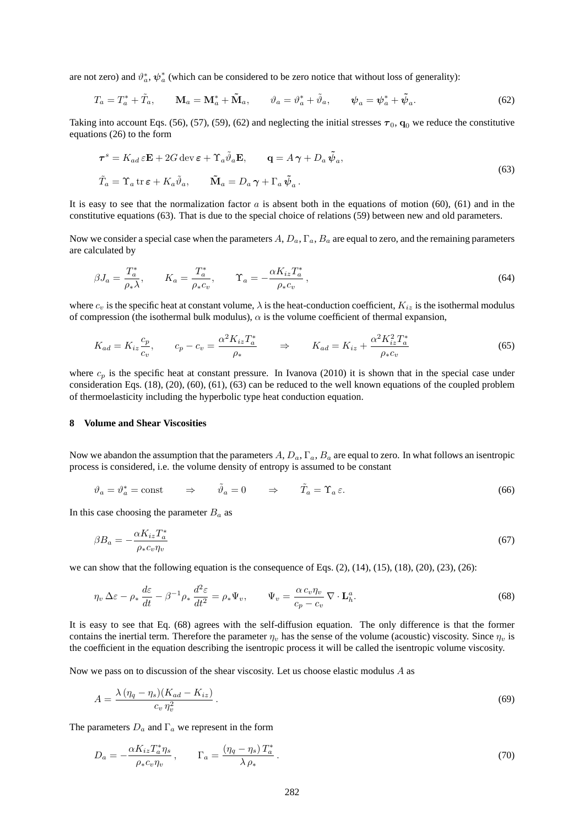are not zero) and  $\vartheta_a^*, \psi_a^*$  (which can be considered to be zero notice that without loss of generality):

$$
T_a = T_a^* + \tilde{T}_a, \qquad \mathbf{M}_a = \mathbf{M}_a^* + \tilde{\mathbf{M}}_a, \qquad \vartheta_a = \vartheta_a^* + \tilde{\vartheta}_a, \qquad \psi_a = \psi_a^* + \tilde{\psi}_a. \tag{62}
$$

Taking into account Eqs. (56), (57), (59), (62) and neglecting the initial stresses  $\tau_0$ ,  $\mathbf{q}_0$  we reduce the constitutive equations (26) to the form

$$
\tau^{s} = K_{ad} \varepsilon \mathbf{E} + 2G \operatorname{dev} \varepsilon + \Upsilon_{a} \tilde{\vartheta}_{a} \mathbf{E}, \qquad \mathbf{q} = A \gamma + D_{a} \tilde{\psi}_{a},
$$
  
\n
$$
\tilde{T}_{a} = \Upsilon_{a} \operatorname{tr} \varepsilon + K_{a} \tilde{\vartheta}_{a}, \qquad \tilde{\mathbf{M}}_{a} = D_{a} \gamma + \Gamma_{a} \tilde{\psi}_{a}.
$$
\n(63)

It is easy to see that the normalization factor  $a$  is absent both in the equations of motion (60), (61) and in the constitutive equations (63). That is due to the special choice of relations (59) between new and old parameters.

Now we consider a special case when the parameters  $A, D_a, \Gamma_a, B_a$  are equal to zero, and the remaining parameters are calculated by

$$
\beta J_a = \frac{T_a^*}{\rho_* \lambda}, \qquad K_a = \frac{T_a^*}{\rho_* c_v}, \qquad \Upsilon_a = -\frac{\alpha K_{iz} T_a^*}{\rho_* c_v}, \tag{64}
$$

where  $c_v$  is the specific heat at constant volume,  $\lambda$  is the heat-conduction coefficient,  $K_{iz}$  is the isothermal modulus of compression (the isothermal bulk modulus),  $\alpha$  is the volume coefficient of thermal expansion,

$$
K_{ad} = K_{iz}\frac{c_p}{c_v}, \qquad c_p - c_v = \frac{\alpha^2 K_{iz} T_a^*}{\rho_*} \qquad \Rightarrow \qquad K_{ad} = K_{iz} + \frac{\alpha^2 K_{iz}^2 T_a^*}{\rho_* c_v} \tag{65}
$$

where  $c_p$  is the specific heat at constant pressure. In Ivanova (2010) it is shown that in the special case under consideration Eqs. (18), (20), (60), (61), (63) can be reduced to the well known equations of the coupled problem of thermoelasticity including the hyperbolic type heat conduction equation.

## **8 Volume and Shear Viscosities**

Now we abandon the assumption that the parameters  $A, D_a, \Gamma_a, B_a$  are equal to zero. In what follows an isentropic process is considered, i.e. the volume density of entropy is assumed to be constant

$$
\vartheta_a = \vartheta_a^* = \text{const} \qquad \Rightarrow \qquad \tilde{\vartheta}_a = 0 \qquad \Rightarrow \qquad \tilde{T}_a = \Upsilon_a \,\varepsilon. \tag{66}
$$

In this case choosing the parameter  $B_a$  as

$$
\beta B_a = -\frac{\alpha K_{iz} T_a^*}{\rho_* c_v \eta_v} \tag{67}
$$

we can show that the following equation is the consequence of Eqs.  $(2)$ ,  $(14)$ ,  $(15)$ ,  $(18)$ ,  $(20)$ ,  $(23)$ ,  $(26)$ :

$$
\eta_v \Delta \varepsilon - \rho_* \frac{d\varepsilon}{dt} - \beta^{-1} \rho_* \frac{d^2 \varepsilon}{dt^2} = \rho_* \Psi_v, \qquad \Psi_v = \frac{\alpha c_v \eta_v}{c_p - c_v} \nabla \cdot \mathbf{L}_h^a. \tag{68}
$$

It is easy to see that Eq. (68) agrees with the self-diffusion equation. The only difference is that the former contains the inertial term. Therefore the parameter  $\eta_v$  has the sense of the volume (acoustic) viscosity. Since  $\eta_v$  is the coefficient in the equation describing the isentropic process it will be called the isentropic volume viscosity.

Now we pass on to discussion of the shear viscosity. Let us choose elastic modulus  $A$  as

$$
A = \frac{\lambda \left(\eta_q - \eta_s\right) \left(K_{ad} - K_{iz}\right)}{c_v \eta_v^2} \,. \tag{69}
$$

The parameters  $D_a$  and  $\Gamma_a$  we represent in the form

$$
D_a = -\frac{\alpha K_{iz} T_a^* \eta_s}{\rho_* c_v \eta_v}, \qquad \Gamma_a = \frac{(\eta_q - \eta_s) T_a^*}{\lambda \rho_*}.
$$
\n
$$
(70)
$$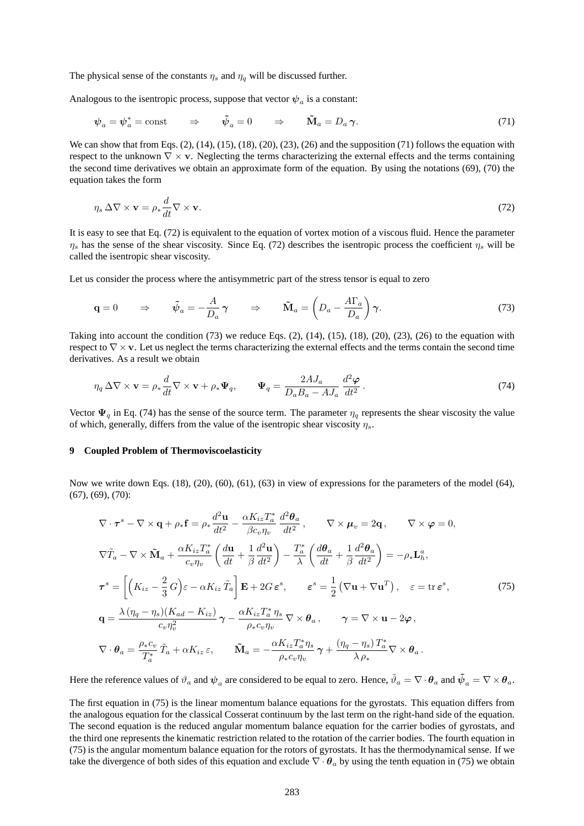The physical sense of the constants  $\eta_s$  and  $\eta_q$  will be discussed further.

Analogous to the isentropic process, suppose that vector  $\psi_a$  is a constant:

$$
\psi_a = \psi_a^* = \text{const} \qquad \Rightarrow \qquad \tilde{\psi}_a = 0 \qquad \Rightarrow \qquad \tilde{\mathbf{M}}_a = D_a \gamma. \tag{71}
$$

We can show that from Eqs. (2), (14), (15), (18), (20), (23), (26) and the supposition (71) follows the equation with respect to the unknown  $\nabla \times \mathbf{v}$ . Neglecting the terms characterizing the external effects and the terms containing the second time derivatives we obtain an approximate form of the equation. By using the notations (69), (70) the equation takes the form

$$
\eta_s \,\Delta \nabla \times \mathbf{v} = \rho_* \frac{d}{dt} \nabla \times \mathbf{v}.\tag{72}
$$

It is easy to see that Eq. (72) is equivalent to the equation of vortex motion of a viscous fluid. Hence the parameter  $\eta_s$  has the sense of the shear viscosity. Since Eq. (72) describes the isentropic process the coefficient  $\eta_s$  will be called the isentropic shear viscosity.

Let us consider the process where the antisymmetric part of the stress tensor is equal to zero

$$
\mathbf{q} = 0 \qquad \Rightarrow \qquad \tilde{\psi}_a = -\frac{A}{D_a} \gamma \qquad \Rightarrow \qquad \tilde{\mathbf{M}}_a = \left( D_a - \frac{A\Gamma_a}{D_a} \right) \gamma. \tag{73}
$$

Taking into account the condition  $(73)$  we reduce Eqs.  $(2)$ ,  $(14)$ ,  $(15)$ ,  $(18)$ ,  $(20)$ ,  $(23)$ ,  $(26)$  to the equation with respect to  $\nabla \times \mathbf{v}$ . Let us neglect the terms characterizing the external effects and the terms contain the second time derivatives. As a result we obtain

$$
\eta_q \Delta \nabla \times \mathbf{v} = \rho_* \frac{d}{dt} \nabla \times \mathbf{v} + \rho_* \Psi_q, \qquad \Psi_q = \frac{2AJ_a}{D_a B_a - AJ_a} \frac{d^2 \varphi}{dt^2}.
$$
\n(74)

Vector  $\Psi_q$  in Eq. (74) has the sense of the source term. The parameter  $\eta_q$  represents the shear viscosity the value of which, generally, differs from the value of the isentropic shear viscosity  $\eta_s$ .

### **9 Coupled Problem of Thermoviscoelasticity**

Now we write down Eqs. (18), (20), (60), (61), (63) in view of expressions for the parameters of the model (64), (67), (69), (70):

$$
\nabla \cdot \boldsymbol{\tau}^{s} - \nabla \times \mathbf{q} + \rho_{*} \mathbf{f} = \rho_{*} \frac{d^{2} \mathbf{u}}{dt^{2}} - \frac{\alpha K_{iz} T_{a}^{*}}{\beta c_{v} \eta_{v}} \frac{d^{2} \boldsymbol{\theta}_{a}}{dt^{2}}, \qquad \nabla \times \boldsymbol{\mu}_{v} = 2\mathbf{q}, \qquad \nabla \times \boldsymbol{\varphi} = 0,
$$
  

$$
\nabla \tilde{T}_{a} - \nabla \times \tilde{\mathbf{M}}_{a} + \frac{\alpha K_{iz} T_{a}^{*}}{c_{v} \eta_{v}} \left( \frac{d \mathbf{u}}{dt} + \frac{1}{\beta} \frac{d^{2} \mathbf{u}}{dt^{2}} \right) - \frac{T_{a}^{*}}{\lambda} \left( \frac{d \boldsymbol{\theta}_{a}}{dt} + \frac{1}{\beta} \frac{d^{2} \boldsymbol{\theta}_{a}}{dt^{2}} \right) = -\rho_{*} \mathbf{L}_{h}^{a},
$$
  

$$
\boldsymbol{\tau}^{s} = \left[ \left( K_{iz} - \frac{2}{3} G \right) \varepsilon - \alpha K_{iz} \tilde{T}_{a} \right] \mathbf{E} + 2G \, \varepsilon^{s}, \qquad \varepsilon^{s} = \frac{1}{2} \left( \nabla \mathbf{u} + \nabla \mathbf{u}^{T} \right), \quad \varepsilon = \text{tr} \, \varepsilon^{s},
$$
(75)  

$$
\mathbf{q} = \frac{\lambda (\eta_{q} - \eta_{s}) (K_{ad} - K_{iz})}{c_{v} \eta_{v}^{2}} \gamma - \frac{\alpha K_{iz} T_{a}^{*} \eta_{s}}{\rho_{*} c_{v} \eta_{v}} \nabla \times \boldsymbol{\theta}_{a}, \qquad \gamma = \nabla \times \mathbf{u} - 2\boldsymbol{\varphi},
$$
  

$$
\nabla \cdot \boldsymbol{\theta}_{a} = \frac{\rho_{*} c_{v}}{T_{a}^{*}} \tilde{T}_{a} + \alpha K_{iz} \varepsilon, \qquad \tilde{\mathbf{M}}_{a} = -\frac{\alpha K_{iz} T_{a}^{*} \eta_{s}}{\rho_{*} c_{v} \eta_{v}} \gamma + \frac{(\eta_{q} - \
$$

Here the reference values of  $\vartheta_a$  and  $\psi_a$  are considered to be equal to zero. Hence,  $\tilde{\vartheta}_a = \nabla \cdot \theta_a$  and  $\tilde{\psi}_a = \nabla \times \theta_a$ .

The first equation in (75) is the linear momentum balance equations for the gyrostats. This equation differs from the analogous equation for the classical Cosserat continuum by the last term on the right-hand side of the equation. The second equation is the reduced angular momentum balance equation for the carrier bodies of gyrostats, and the third one represents the kinematic restriction related to the rotation of the carrier bodies. The fourth equation in (75) is the angular momentum balance equation for the rotors of gyrostats. It has the thermodynamical sense. If we take the divergence of both sides of this equation and exclude  $\nabla \cdot \theta_a$  by using the tenth equation in (75) we obtain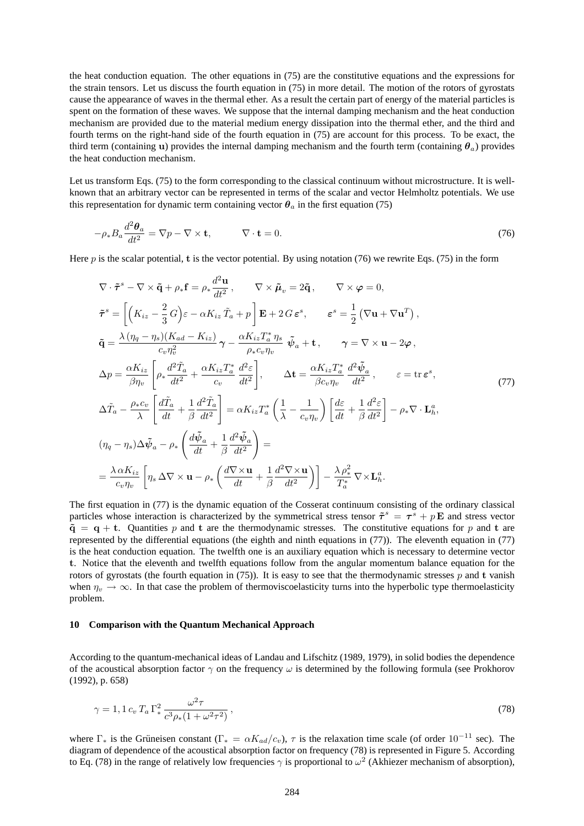the heat conduction equation. The other equations in (75) are the constitutive equations and the expressions for the strain tensors. Let us discuss the fourth equation in (75) in more detail. The motion of the rotors of gyrostats cause the appearance of waves in the thermal ether. As a result the certain part of energy of the material particles is spent on the formation of these waves. We suppose that the internal damping mechanism and the heat conduction mechanism are provided due to the material medium energy dissipation into the thermal ether, and the third and fourth terms on the right-hand side of the fourth equation in (75) are account for this process. To be exact, the third term (containing u) provides the internal damping mechanism and the fourth term (containing  $\theta_a$ ) provides the heat conduction mechanism.

Let us transform Eqs. (75) to the form corresponding to the classical continuum without microstructure. It is wellknown that an arbitrary vector can be represented in terms of the scalar and vector Helmholtz potentials. We use this representation for dynamic term containing vector  $\theta_a$  in the first equation (75)

$$
-\rho_* B_a \frac{d^2 \theta_a}{dt^2} = \nabla p - \nabla \times \mathbf{t}, \qquad \nabla \cdot \mathbf{t} = 0.
$$
\n(76)

Here p is the scalar potential, t is the vector potential. By using notation (76) we rewrite Eqs. (75) in the form

$$
\nabla \cdot \tilde{\boldsymbol{\tau}}^{s} - \nabla \times \tilde{\mathbf{q}} + \rho_{*} \mathbf{f} = \rho_{*} \frac{d^{2} \mathbf{u}}{dt^{2}}, \qquad \nabla \times \tilde{\boldsymbol{\mu}}_{v} = 2\tilde{\mathbf{q}}, \qquad \nabla \times \varphi = 0,
$$
\n
$$
\tilde{\boldsymbol{\tau}}^{s} = \left[ \left( K_{iz} - \frac{2}{3} G \right) \varepsilon - \alpha K_{iz} \tilde{T}_{a} + p \right] \mathbf{E} + 2 G \varepsilon^{s}, \qquad \varepsilon^{s} = \frac{1}{2} \left( \nabla \mathbf{u} + \nabla \mathbf{u}^{T} \right),
$$
\n
$$
\tilde{\mathbf{q}} = \frac{\lambda \left( \eta_{q} - \eta_{s} \right) \left( K_{ad} - K_{iz} \right)}{c_{v} \eta_{v}^{2}} \gamma - \frac{\alpha K_{iz} T_{a}^{*} \eta_{s}}{\rho_{*} c_{v} \eta_{v}} \tilde{\boldsymbol{\psi}}_{a} + \mathbf{t}, \qquad \gamma = \nabla \times \mathbf{u} - 2 \varphi,
$$
\n
$$
\Delta p = \frac{\alpha K_{iz}}{\beta \eta_{v}} \left[ \rho_{*} \frac{d^{2} \tilde{T}_{a}}{dt^{2}} + \frac{\alpha K_{iz} T_{a}^{*}}{c_{v}} \frac{d^{2} \varepsilon}{dt^{2}} \right], \qquad \Delta \mathbf{t} = \frac{\alpha K_{iz} T_{a}^{*}}{\beta c_{v} \eta_{v}} \frac{d^{2} \tilde{\boldsymbol{\psi}}_{a}}{dt^{2}}, \qquad \varepsilon = \text{tr} \, \varepsilon^{s},
$$
\n
$$
\Delta \tilde{T}_{a} - \frac{\rho_{*} c_{v}}{\lambda} \left[ \frac{d \tilde{T}_{a}}{dt} + \frac{1}{\beta} \frac{d^{2} \tilde{T}_{a}}{dt^{2}} \right] = \alpha K_{iz} T_{a}^{*} \left( \frac{1}{\lambda} - \frac{1}{c_{v} \eta_{v}} \right) \left[ \frac{d \varepsilon}{dt} + \frac{1}{\beta} \frac{d^{2} \varepsilon}{dt^{2}} \right] - \rho_{*} \nabla \cdot \mathbf{L
$$

The first equation in (77) is the dynamic equation of the Cosserat continuum consisting of the ordinary classical particles whose interaction is characterized by the symmetrical stress tensor  $\tilde{\tau}^s = \tau^s + p \mathbf{E}$  and stress vector  $\tilde{q} = q + t$ . Quantities p and t are the thermodynamic stresses. The constitutive equations for p and t are represented by the differential equations (the eighth and ninth equations in (77)). The eleventh equation in (77) is the heat conduction equation. The twelfth one is an auxiliary equation which is necessary to determine vector t. Notice that the eleventh and twelfth equations follow from the angular momentum balance equation for the rotors of gyrostats (the fourth equation in (75)). It is easy to see that the thermodynamic stresses p and t vanish when  $\eta_v \to \infty$ . In that case the problem of thermoviscoelasticity turns into the hyperbolic type thermoelasticity problem.

### **10 Comparison with the Quantum Mechanical Approach**

According to the quantum-mechanical ideas of Landau and Lifschitz (1989, 1979), in solid bodies the dependence of the acoustical absorption factor  $\gamma$  on the frequency  $\omega$  is determined by the following formula (see Prokhorov (1992), p. 658)

$$
\gamma = 1, 1 c_v T_a \Gamma_*^2 \frac{\omega^2 \tau}{c^3 \rho_*(1 + \omega^2 \tau^2)},
$$
\n(78)

where  $\Gamma_*$  is the Grüneisen constant ( $\Gamma_* = \alpha K_{ad}/c_v$ ),  $\tau$  is the relaxation time scale (of order 10<sup>-11</sup> sec). The diagram of dependence of the acoustical absorption factor on frequency (78) is represented in Figure 5. According to Eq. (78) in the range of relatively low frequencies  $\gamma$  is proportional to  $\omega^2$  (Akhiezer mechanism of absorption),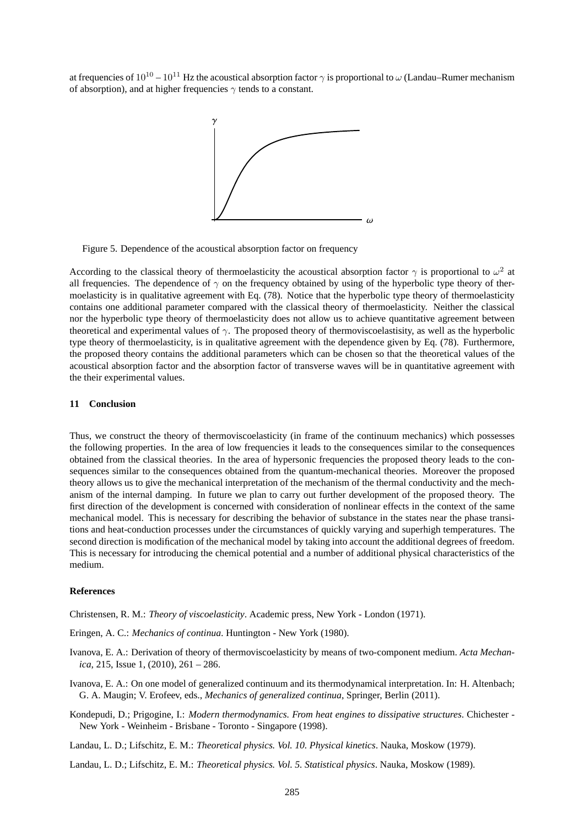at frequencies of  $10^{10} - 10^{11}$  Hz the acoustical absorption factor  $\gamma$  is proportional to  $\omega$  (Landau–Rumer mechanism of absorption), and at higher frequencies  $\gamma$  tends to a constant.



Figure 5. Dependence of the acoustical absorption factor on frequency

According to the classical theory of thermoelasticity the acoustical absorption factor  $\gamma$  is proportional to  $\omega^2$  at all frequencies. The dependence of  $\gamma$  on the frequency obtained by using of the hyperbolic type theory of thermoelasticity is in qualitative agreement with Eq. (78). Notice that the hyperbolic type theory of thermoelasticity contains one additional parameter compared with the classical theory of thermoelasticity. Neither the classical nor the hyperbolic type theory of thermoelasticity does not allow us to achieve quantitative agreement between theoretical and experimental values of  $\gamma$ . The proposed theory of thermoviscoelastisity, as well as the hyperbolic type theory of thermoelasticity, is in qualitative agreement with the dependence given by Eq. (78). Furthermore, the proposed theory contains the additional parameters which can be chosen so that the theoretical values of the acoustical absorption factor and the absorption factor of transverse waves will be in quantitative agreement with the their experimental values.

### **11 Conclusion**

Thus, we construct the theory of thermoviscoelasticity (in frame of the continuum mechanics) which possesses the following properties. In the area of low frequencies it leads to the consequences similar to the consequences obtained from the classical theories. In the area of hypersonic frequencies the proposed theory leads to the consequences similar to the consequences obtained from the quantum-mechanical theories. Moreover the proposed theory allows us to give the mechanical interpretation of the mechanism of the thermal conductivity and the mechanism of the internal damping. In future we plan to carry out further development of the proposed theory. The first direction of the development is concerned with consideration of nonlinear effects in the context of the same mechanical model. This is necessary for describing the behavior of substance in the states near the phase transitions and heat-conduction processes under the circumstances of quickly varying and superhigh temperatures. The second direction is modification of the mechanical model by taking into account the additional degrees of freedom. This is necessary for introducing the chemical potential and a number of additional physical characteristics of the medium.

#### **References**

Christensen, R. M.: *Theory of viscoelasticity*. Academic press, New York - London (1971).

- Eringen, A. C.: *Mechanics of continua*. Huntington New York (1980).
- Ivanova, E. A.: Derivation of theory of thermoviscoelasticity by means of two-component medium. *Acta Mechanica*, 215, Issue 1, (2010), 261 – 286.
- Ivanova, E. A.: On one model of generalized continuum and its thermodynamical interpretation. In: H. Altenbach; G. A. Maugin; V. Erofeev, eds., *Mechanics of generalized continua*, Springer, Berlin (2011).
- Kondepudi, D.; Prigogine, I.: *Modern thermodynamics. From heat engines to dissipative structures*. Chichester New York - Weinheim - Brisbane - Toronto - Singapore (1998).
- Landau, L. D.; Lifschitz, E. M.: *Theoretical physics. Vol. 10. Physical kinetics*. Nauka, Moskow (1979).
- Landau, L. D.; Lifschitz, E. M.: *Theoretical physics. Vol. 5. Statistical physics*. Nauka, Moskow (1989).